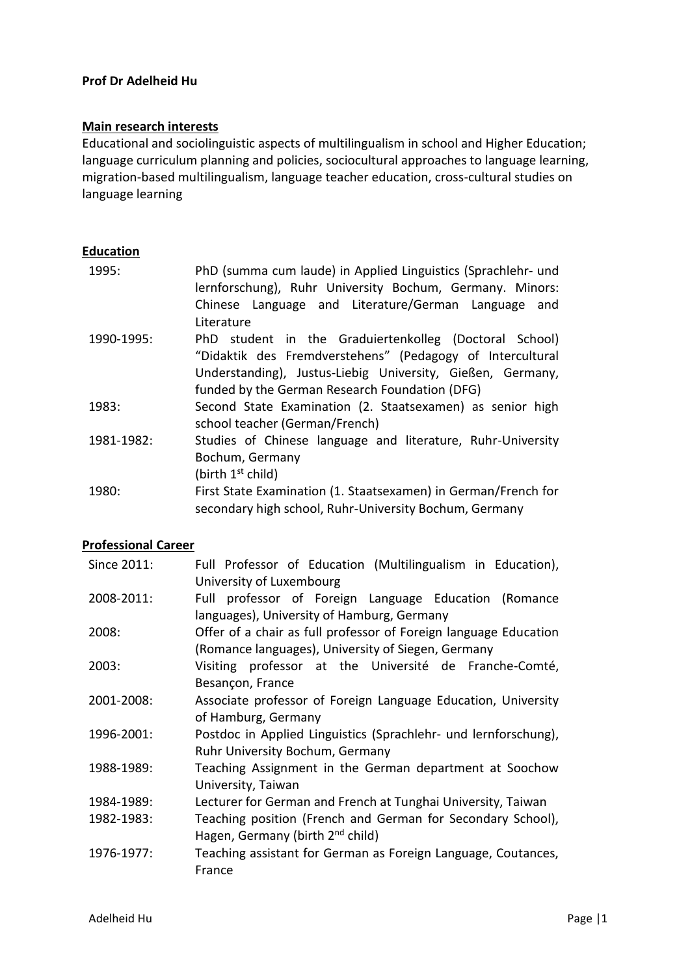### **Prof Dr Adelheid Hu**

#### **Main research interests**

Educational and sociolinguistic aspects of multilingualism in school and Higher Education; language curriculum planning and policies, sociocultural approaches to language learning, migration-based multilingualism, language teacher education, cross-cultural studies on language learning

## **Education**

| 1995:      | PhD (summa cum laude) in Applied Linguistics (Sprachlehr- und<br>lernforschung), Ruhr University Bochum, Germany. Minors:<br>Chinese Language and Literature/German Language<br>and<br>Literature                                   |
|------------|-------------------------------------------------------------------------------------------------------------------------------------------------------------------------------------------------------------------------------------|
| 1990-1995: | PhD student in the Graduiertenkolleg (Doctoral School)<br>"Didaktik des Fremdverstehens" (Pedagogy of Intercultural<br>Understanding), Justus-Liebig University, Gießen, Germany,<br>funded by the German Research Foundation (DFG) |
| 1983:      | Second State Examination (2. Staatsexamen) as senior high<br>school teacher (German/French)                                                                                                                                         |
| 1981-1982: | Studies of Chinese language and literature, Ruhr-University<br>Bochum, Germany<br>(birth 1 <sup>st</sup> child)                                                                                                                     |
| 1980:      | First State Examination (1. Staatsexamen) in German/French for<br>secondary high school, Ruhr-University Bochum, Germany                                                                                                            |

### **Professional Career**

| Since 2011: | Full Professor of Education (Multilingualism in Education),      |
|-------------|------------------------------------------------------------------|
|             | University of Luxembourg                                         |
| 2008-2011:  | professor of Foreign Language Education (Romance<br>Full         |
|             | languages), University of Hamburg, Germany                       |
| 2008:       | Offer of a chair as full professor of Foreign language Education |
|             | (Romance languages), University of Siegen, Germany               |
| 2003:       | Visiting professor at the Université de Franche-Comté,           |
|             | Besançon, France                                                 |
| 2001-2008:  | Associate professor of Foreign Language Education, University    |
|             | of Hamburg, Germany                                              |
| 1996-2001:  | Postdoc in Applied Linguistics (Sprachlehr- und lernforschung),  |
|             | Ruhr University Bochum, Germany                                  |
| 1988-1989:  | Teaching Assignment in the German department at Soochow          |
|             | University, Taiwan                                               |
| 1984-1989:  | Lecturer for German and French at Tunghai University, Taiwan     |
| 1982-1983:  | Teaching position (French and German for Secondary School),      |
|             | Hagen, Germany (birth 2 <sup>nd</sup> child)                     |
| 1976-1977:  | Teaching assistant for German as Foreign Language, Coutances,    |
|             | France                                                           |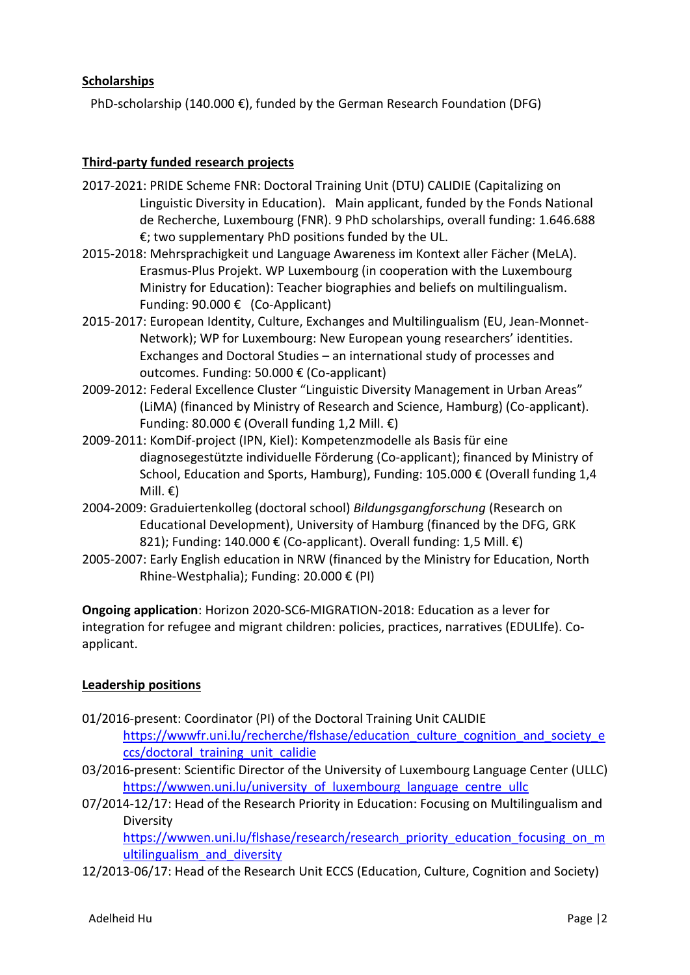## **Scholarships**

PhD-scholarship (140.000 €), funded by the German Research Foundation (DFG)

### **Third-party funded research projects**

- 2017-2021: PRIDE Scheme FNR: Doctoral Training Unit (DTU) CALIDIE (Capitalizing on Linguistic Diversity in Education). Main applicant, funded by the Fonds National de Recherche, Luxembourg (FNR). 9 PhD scholarships, overall funding: 1.646.688 €; two supplementary PhD positions funded by the UL.
- 2015-2018: Mehrsprachigkeit und Language Awareness im Kontext aller Fächer (MeLA). Erasmus-Plus Projekt. WP Luxembourg (in cooperation with the Luxembourg Ministry for Education): Teacher biographies and beliefs on multilingualism. Funding: 90.000 € (Co-Applicant)
- 2015-2017: European Identity, Culture, Exchanges and Multilingualism (EU, Jean-Monnet-Network); WP for Luxembourg: New European young researchers' identities. Exchanges and Doctoral Studies – an international study of processes and outcomes. Funding: 50.000 € (Co-applicant)
- 2009-2012: Federal Excellence Cluster "Linguistic Diversity Management in Urban Areas" (LiMA) (financed by Ministry of Research and Science, Hamburg) (Co-applicant). Funding: 80.000 € (Overall funding 1,2 Mill.  $€$ )
- 2009-2011: KomDif-project (IPN, Kiel): Kompetenzmodelle als Basis für eine diagnosegestützte individuelle Förderung (Co-applicant); financed by Ministry of School, Education and Sports, Hamburg), Funding: 105.000 € (Overall funding 1,4 Mill.  $\epsilon$ )
- 2004-2009: Graduiertenkolleg (doctoral school) *Bildungsgangforschung* (Research on Educational Development), University of Hamburg (financed by the DFG, GRK 821); Funding: 140.000 € (Co-applicant). Overall funding: 1,5 Mill.  $\epsilon$ )
- 2005-2007: Early English education in NRW (financed by the Ministry for Education, North Rhine-Westphalia); Funding: 20.000 € (PI)

**Ongoing application**: Horizon 2020-SC6-MIGRATION-2018: Education as a lever for integration for refugee and migrant children: policies, practices, narratives (EDULIfe). Coapplicant.

# **Leadership positions**

- 01/2016-present: Coordinator (PI) of the Doctoral Training Unit CALIDIE [https://wwwfr.uni.lu/recherche/flshase/education\\_culture\\_cognition\\_and\\_society\\_e](https://wwwfr.uni.lu/recherche/flshase/education_culture_cognition_and_society_eccs/doctoral_training_unit_calidie) [ccs/doctoral\\_training\\_unit\\_calidie](https://wwwfr.uni.lu/recherche/flshase/education_culture_cognition_and_society_eccs/doctoral_training_unit_calidie)
- 03/2016-present: Scientific Director of the University of Luxembourg Language Center (ULLC) https://wwwen.uni.lu/university of luxembourg language centre ullc
- 07/2014-12/17: Head of the Research Priority in Education: Focusing on Multilingualism and Diversity

[https://wwwen.uni.lu/flshase/research/research\\_priority\\_education\\_focusing\\_on\\_m](https://wwwen.uni.lu/flshase/research/research_priority_education_focusing_on_multilingualism_and_diversity) [ultilingualism\\_and\\_diversity](https://wwwen.uni.lu/flshase/research/research_priority_education_focusing_on_multilingualism_and_diversity)

12/2013-06/17: Head of the Research Unit ECCS (Education, Culture, Cognition and Society)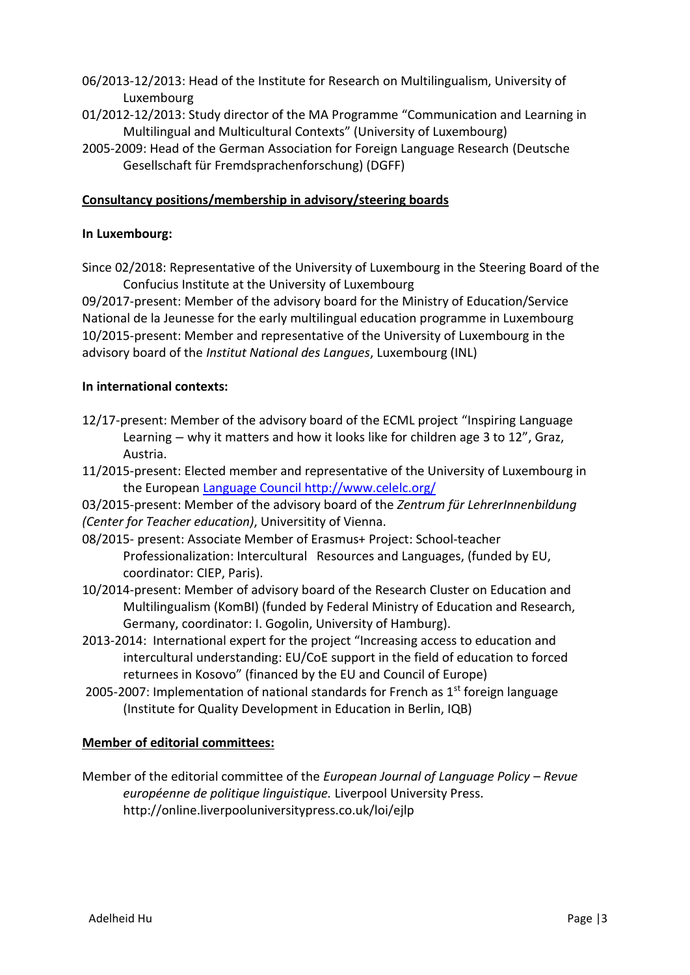- 06/2013-12/2013: Head of the Institute for Research on Multilingualism, University of Luxembourg
- 01/2012-12/2013: Study director of the MA Programme "Communication and Learning in Multilingual and Multicultural Contexts" (University of Luxembourg)
- 2005-2009: Head of the German Association for Foreign Language Research (Deutsche Gesellschaft für Fremdsprachenforschung) (DGFF)

## **Consultancy positions/membership in advisory/steering boards**

### **In Luxembourg:**

Since 02/2018: Representative of the University of Luxembourg in the Steering Board of the Confucius Institute at the University of Luxembourg

09/2017-present: Member of the advisory board for the Ministry of Education/Service National de la Jeunesse for the early multilingual education programme in Luxembourg 10/2015-present: Member and representative of the University of Luxembourg in the advisory board of the *Institut National des Langues*, Luxembourg (INL)

### **In international contexts:**

- 12/17-present: Member of the advisory board of the ECML project "Inspiring Language Learning – why it matters and how it looks like for children age 3 to 12", Graz, Austria.
- 11/2015-present: Elected member and representative of the University of Luxembourg in the European [Language Council http://www.celelc.org/](file:///C:/Users/adelheid.hu/AppData/Local/Microsoft/Windows/Temporary%20Internet%20Files/Content.Outlook/G4HMP9E9/Language%20Council%20http:/www.celelc.org/)

03/2015-present: Member of the advisory board of the *Zentrum für LehrerInnenbildung (Center for Teacher education)*, Universitity of Vienna.

- 08/2015- present: Associate Member of Erasmus+ Project: School-teacher Professionalization: Intercultural Resources and Languages, (funded by EU, coordinator: CIEP, Paris).
- 10/2014-present: Member of advisory board of the Research Cluster on Education and Multilingualism (KomBI) (funded by Federal Ministry of Education and Research, Germany, coordinator: I. Gogolin, University of Hamburg).
- 2013-2014: International expert for the project "Increasing access to education and intercultural understanding: EU/CoE support in the field of education to forced returnees in Kosovo" (financed by the EU and Council of Europe)
- 2005-2007: Implementation of national standards for French as  $1<sup>st</sup>$  foreign language (Institute for Quality Development in Education in Berlin, IQB)

### **Member of editorial committees:**

Member of the editorial committee of the *European Journal of Language Policy* – *Revue européenne de politique linguistique.* Liverpool University Press. http://online.liverpooluniversitypress.co.uk/loi/ejlp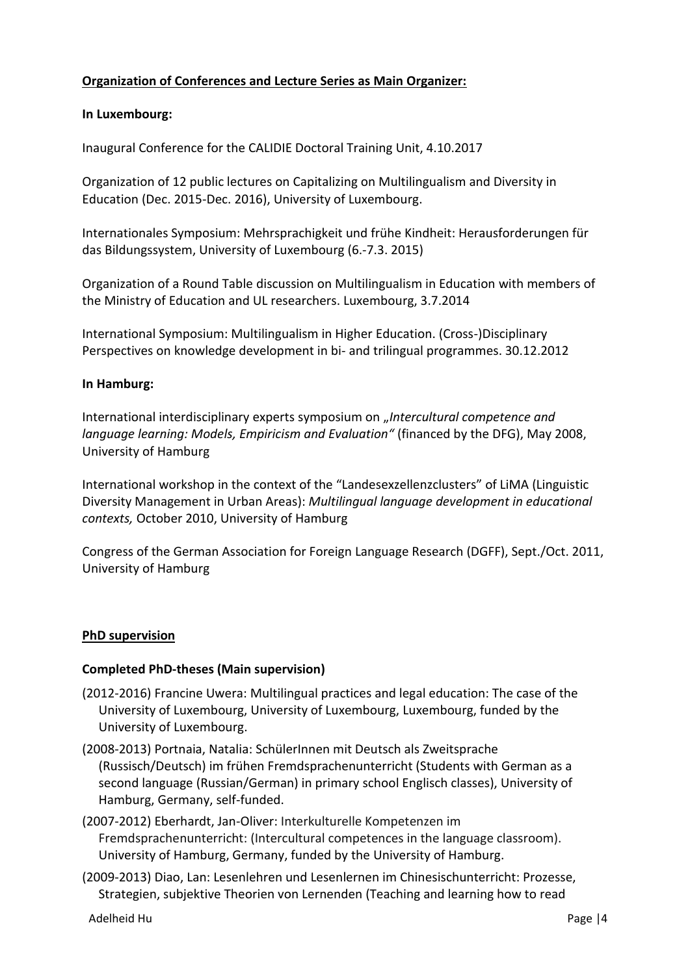# **Organization of Conferences and Lecture Series as Main Organizer:**

### **In Luxembourg:**

Inaugural Conference for the CALIDIE Doctoral Training Unit, 4.10.2017

Organization of 12 public lectures on Capitalizing on Multilingualism and Diversity in Education (Dec. 2015-Dec. 2016), University of Luxembourg.

Internationales Symposium: Mehrsprachigkeit und frühe Kindheit: Herausforderungen für das Bildungssystem, University of Luxembourg (6.-7.3. 2015)

Organization of a Round Table discussion on Multilingualism in Education with members of the Ministry of Education and UL researchers. Luxembourg, 3.7.2014

International Symposium: Multilingualism in Higher Education. (Cross-)Disciplinary Perspectives on knowledge development in bi- and trilingual programmes. 30.12.2012

#### **In Hamburg:**

International interdisciplinary experts symposium on "Intercultural competence and *language learning: Models, Empiricism and Evaluation"* (financed by the DFG), May 2008, University of Hamburg

International workshop in the context of the "Landesexzellenzclusters" of LiMA (Linguistic Diversity Management in Urban Areas): *Multilingual language development in educational contexts,* October 2010, University of Hamburg

Congress of the German Association for Foreign Language Research (DGFF), Sept./Oct. 2011, University of Hamburg

### **PhD supervision**

#### **Completed PhD-theses (Main supervision)**

- (2012-2016) Francine Uwera: Multilingual practices and legal education: The case of the University of Luxembourg, University of Luxembourg, Luxembourg, funded by the University of Luxembourg.
- (2008-2013) Portnaia, Natalia: SchülerInnen mit Deutsch als Zweitsprache (Russisch/Deutsch) im frühen Fremdsprachenunterricht (Students with German as a second language (Russian/German) in primary school Englisch classes), University of Hamburg, Germany, self-funded.
- (2007-2012) Eberhardt, Jan-Oliver: Interkulturelle Kompetenzen im Fremdsprachenunterricht: (Intercultural competences in the language classroom). University of Hamburg, Germany, funded by the University of Hamburg.
- (2009-2013) Diao, Lan: Lesenlehren und Lesenlernen im Chinesischunterricht: Prozesse, Strategien, subjektive Theorien von Lernenden (Teaching and learning how to read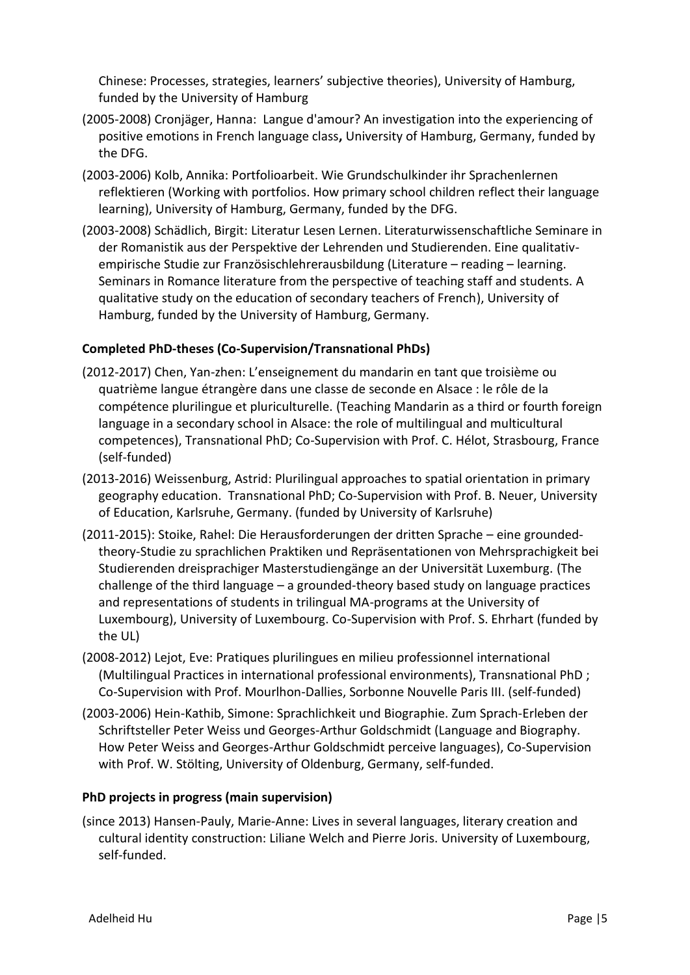Chinese: Processes, strategies, learners' subjective theories), University of Hamburg, funded by the University of Hamburg

- (2005-2008) Cronjäger, Hanna: Langue d'amour? An investigation into the experiencing of positive emotions in French language class**,** University of Hamburg, Germany, funded by the DFG.
- (2003-2006) Kolb, Annika: Portfolioarbeit. Wie Grundschulkinder ihr Sprachenlernen reflektieren (Working with portfolios. How primary school children reflect their language learning), University of Hamburg, Germany, funded by the DFG.
- (2003-2008) Schädlich, Birgit: Literatur Lesen Lernen. Literaturwissenschaftliche Seminare in der Romanistik aus der Perspektive der Lehrenden und Studierenden. Eine qualitativempirische Studie zur Französischlehrerausbildung (Literature – reading – learning. Seminars in Romance literature from the perspective of teaching staff and students. A qualitative study on the education of secondary teachers of French), University of Hamburg, funded by the University of Hamburg, Germany.

# **Completed PhD-theses (Co-Supervision/Transnational PhDs)**

- (2012-2017) Chen, Yan-zhen: L'enseignement du mandarin en tant que troisième ou quatrième langue étrangère dans une classe de seconde en Alsace : le rôle de la compétence plurilingue et pluriculturelle. (Teaching Mandarin as a third or fourth foreign language in a secondary school in Alsace: the role of multilingual and multicultural competences), Transnational PhD; Co-Supervision with Prof. C. Hélot, Strasbourg, France (self-funded)
- (2013-2016) Weissenburg, Astrid: Plurilingual approaches to spatial orientation in primary geography education. Transnational PhD; Co-Supervision with Prof. B. Neuer, University of Education, Karlsruhe, Germany. (funded by University of Karlsruhe)
- (2011-2015): Stoike, Rahel: Die Herausforderungen der dritten Sprache eine groundedtheory-Studie zu sprachlichen Praktiken und Repräsentationen von Mehrsprachigkeit bei Studierenden dreisprachiger Masterstudiengänge an der Universität Luxemburg. (The challenge of the third language – a grounded-theory based study on language practices and representations of students in trilingual MA-programs at the University of Luxembourg), University of Luxembourg. Co-Supervision with Prof. S. Ehrhart (funded by the UL)
- (2008-2012) Lejot, Eve: Pratiques plurilingues en milieu professionnel international (Multilingual Practices in international professional environments), Transnational PhD ; Co-Supervision with Prof. Mourlhon-Dallies, Sorbonne Nouvelle Paris III. (self-funded)
- (2003-2006) Hein-Kathib, Simone: Sprachlichkeit und Biographie. Zum Sprach-Erleben der Schriftsteller Peter Weiss und Georges-Arthur Goldschmidt (Language and Biography. How Peter Weiss and Georges-Arthur Goldschmidt perceive languages), Co-Supervision with Prof. W. Stölting, University of Oldenburg, Germany, self-funded.

# **PhD projects in progress (main supervision)**

(since 2013) Hansen-Pauly, Marie-Anne: Lives in several languages, literary creation and cultural identity construction: Liliane Welch and Pierre Joris. University of Luxembourg, self-funded.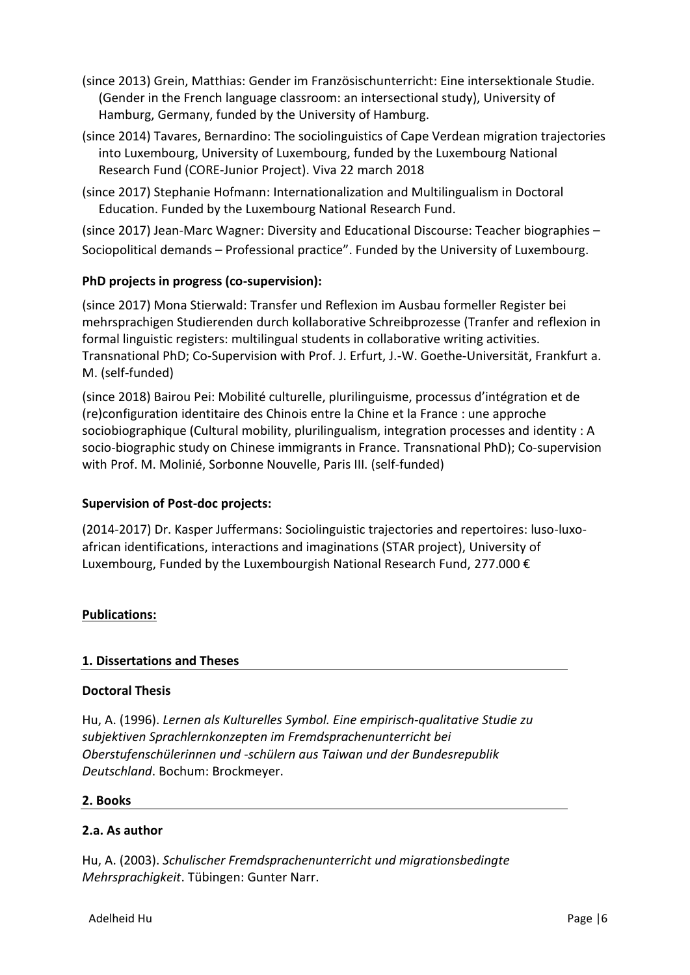- (since 2013) Grein, Matthias: Gender im Französischunterricht: Eine intersektionale Studie. (Gender in the French language classroom: an intersectional study), University of Hamburg, Germany, funded by the University of Hamburg.
- (since 2014) Tavares, Bernardino: The sociolinguistics of Cape Verdean migration trajectories into Luxembourg, University of Luxembourg, funded by the Luxembourg National Research Fund (CORE-Junior Project). Viva 22 march 2018
- (since 2017) Stephanie Hofmann: Internationalization and Multilingualism in Doctoral Education. Funded by the Luxembourg National Research Fund.

(since 2017) Jean-Marc Wagner: Diversity and Educational Discourse: Teacher biographies – Sociopolitical demands – Professional practice". Funded by the University of Luxembourg.

# **PhD projects in progress (co-supervision):**

(since 2017) Mona Stierwald: Transfer und Reflexion im Ausbau formeller Register bei mehrsprachigen Studierenden durch kollaborative Schreibprozesse (Tranfer and reflexion in formal linguistic registers: multilingual students in collaborative writing activities. Transnational PhD; Co-Supervision with Prof. J. Erfurt, J.-W. Goethe-Universität, Frankfurt a. M. (self-funded)

(since 2018) Bairou Pei: Mobilité culturelle, plurilinguisme, processus d'intégration et de (re)configuration identitaire des Chinois entre la Chine et la France : une approche sociobiographique (Cultural mobility, plurilingualism, integration processes and identity : A socio-biographic study on Chinese immigrants in France. Transnational PhD); Co-supervision with Prof. M. Molinié, Sorbonne Nouvelle, Paris III. (self-funded)

# **Supervision of Post-doc projects:**

(2014-2017) Dr. Kasper Juffermans: Sociolinguistic trajectories and repertoires: luso-luxoafrican identifications, interactions and imaginations (STAR project), University of Luxembourg, Funded by the Luxembourgish National Research Fund, 277.000 €

# **Publications:**

# **1. Dissertations and Theses**

### **Doctoral Thesis**

Hu, A. (1996). *Lernen als Kulturelles Symbol. Eine empirisch-qualitative Studie zu subjektiven Sprachlernkonzepten im Fremdsprachenunterricht bei Oberstufenschülerinnen und -schülern aus Taiwan und der Bundesrepublik Deutschland*. Bochum: Brockmeyer.

### **2. Books**

### **2.a. As author**

Hu, A. (2003). *Schulischer Fremdsprachenunterricht und migrationsbedingte Mehrsprachigkeit*. Tübingen: Gunter Narr.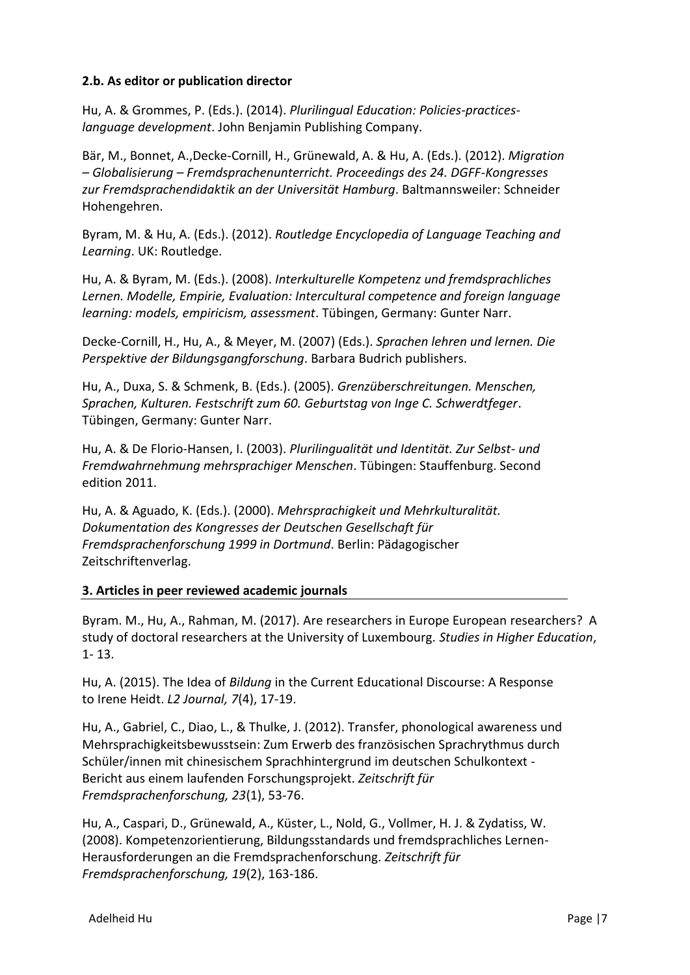### **2.b. As editor or publication director**

Hu, A. & Grommes, P. (Eds.). (2014). *Plurilingual Education: Policies-practiceslanguage development*. John Benjamin Publishing Company.

Bär, M., Bonnet, A.,Decke-Cornill, H., Grünewald, A. & Hu, A. (Eds.). (2012). *Migration – Globalisierung – Fremdsprachenunterricht. Proceedings des 24. DGFF-Kongresses zur Fremdsprachendidaktik an der Universität Hamburg*. Baltmannsweiler: Schneider Hohengehren.

Byram, M. & Hu, A. (Eds.). (2012). *Routledge Encyclopedia of Language Teaching and Learning*. UK: Routledge.

Hu, A. & Byram, M. (Eds.). (2008). *Interkulturelle Kompetenz und fremdsprachliches Lernen. Modelle, Empirie, Evaluation: Intercultural competence and foreign language learning: models, empiricism, assessment*. Tübingen, Germany: Gunter Narr.

Decke-Cornill, H., Hu, A., & Meyer, M. (2007) (Eds.). *Sprachen lehren und lernen. Die Perspektive der Bildungsgangforschung*. Barbara Budrich publishers.

Hu, A., Duxa, S. & Schmenk, B. (Eds.). (2005). *Grenzüberschreitungen. Menschen, Sprachen, Kulturen. Festschrift zum 60. Geburtstag von Inge C. Schwerdtfeger*. Tübingen, Germany: Gunter Narr.

Hu, A. & De Florio-Hansen, I. (2003). *Plurilingualität und Identität. Zur Selbst- und Fremdwahrnehmung mehrsprachiger Menschen*. Tübingen: Stauffenburg. Second edition 2011.

Hu, A. & Aguado, K. (Eds.). (2000). *Mehrsprachigkeit und Mehrkulturalität. Dokumentation des Kongresses der Deutschen Gesellschaft für Fremdsprachenforschung 1999 in Dortmund*. Berlin: Pädagogischer Zeitschriftenverlag.

# **3. Articles in peer reviewed academic journals**

Byram. M., Hu, A., Rahman, M. (2017). Are researchers in Europe European researchers? A study of doctoral researchers at the University of Luxembourg. *Studies in Higher Education*, 1- 13.

Hu, A. (2015). The Idea of *Bildung* in the Current Educational Discourse: A Response to Irene Heidt. *L2 Journal, 7*(4), 17-19.

Hu, A., Gabriel, C., Diao, L., & Thulke, J. (2012). Transfer, phonological awareness und Mehrsprachigkeitsbewusstsein: Zum Erwerb des französischen Sprachrythmus durch Schüler/innen mit chinesischem Sprachhintergrund im deutschen Schulkontext - Bericht aus einem laufenden Forschungsprojekt. *Zeitschrift für Fremdsprachenforschung, 23*(1), 53-76.

Hu, A., Caspari, D., Grünewald, A., Küster, L., Nold, G., Vollmer, H. J. & Zydatiss, W. (2008). Kompetenzorientierung, Bildungsstandards und fremdsprachliches Lernen-Herausforderungen an die Fremdsprachenforschung. *Zeitschrift für Fremdsprachenforschung, 19*(2), 163-186.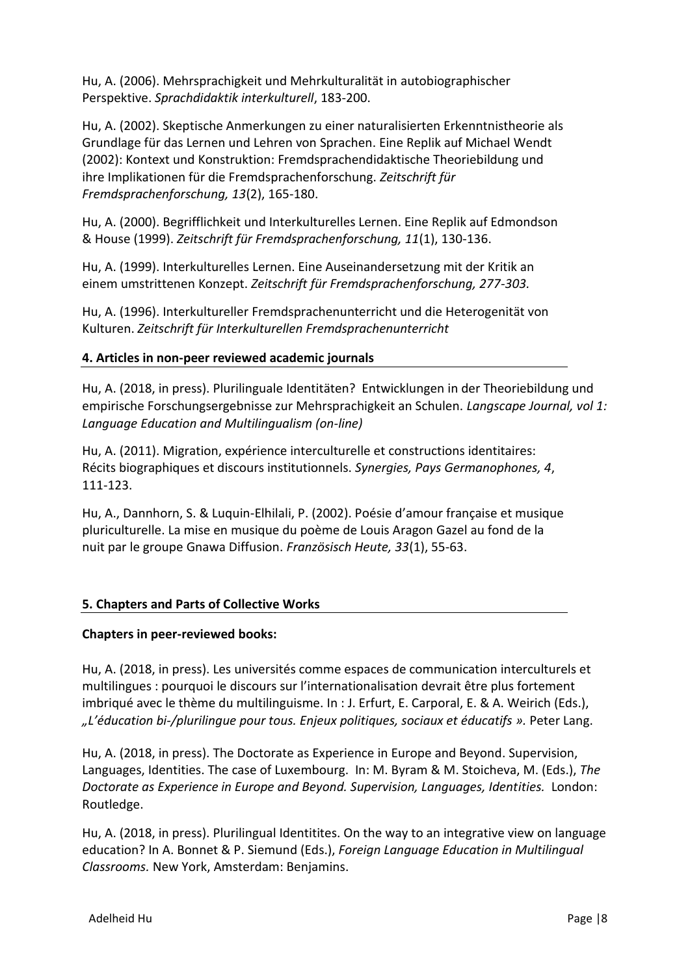Hu, A. (2006). Mehrsprachigkeit und Mehrkulturalität in autobiographischer Perspektive. *Sprachdidaktik interkulturell*, 183-200.

Hu, A. (2002). Skeptische Anmerkungen zu einer naturalisierten Erkenntnistheorie als Grundlage für das Lernen und Lehren von Sprachen. Eine Replik auf Michael Wendt (2002): Kontext und Konstruktion: Fremdsprachendidaktische Theoriebildung und ihre Implikationen für die Fremdsprachenforschung. *Zeitschrift für Fremdsprachenforschung, 13*(2), 165-180.

Hu, A. (2000). Begrifflichkeit und Interkulturelles Lernen. Eine Replik auf Edmondson & House (1999). *Zeitschrift für Fremdsprachenforschung, 11*(1), 130-136.

Hu, A. (1999). Interkulturelles Lernen. Eine Auseinandersetzung mit der Kritik an einem umstrittenen Konzept. *Zeitschrift für Fremdsprachenforschung, 277-303.*

Hu, A. (1996). Interkultureller Fremdsprachenunterricht und die Heterogenität von Kulturen. *Zeitschrift für Interkulturellen Fremdsprachenunterricht*

### **4. Articles in non-peer reviewed academic journals**

Hu, A. (2018, in press). Plurilinguale Identitäten? Entwicklungen in der Theoriebildung und empirische Forschungsergebnisse zur Mehrsprachigkeit an Schulen. *Langscape Journal, vol 1: Language Education and Multilingualism (on-line)*

Hu, A. (2011). Migration, expérience interculturelle et constructions identitaires: Récits biographiques et discours institutionnels. *Synergies, Pays Germanophones, 4*, 111-123.

Hu, A., Dannhorn, S. & Luquin-Elhilali, P. (2002). Poésie d'amour française et musique pluriculturelle. La mise en musique du poème de Louis Aragon Gazel au fond de la nuit par le groupe Gnawa Diffusion. *Französisch Heute, 33*(1), 55-63.

### **5. Chapters and Parts of Collective Works**

### **Chapters in peer-reviewed books:**

Hu, A. (2018, in press). Les universités comme espaces de communication interculturels et multilingues : pourquoi le discours sur l'internationalisation devrait être plus fortement imbriqué avec le thème du multilinguisme. In : J. Erfurt, E. Carporal, E. & A. Weirich (Eds.), *"L'éducation bi-/plurilingue pour tous. Enjeux politiques, sociaux et éducatifs ».* Peter Lang.

Hu, A. (2018, in press). The Doctorate as Experience in Europe and Beyond. Supervision, Languages, Identities. The case of Luxembourg. In: M. Byram & M. Stoicheva, M. (Eds.), *The Doctorate as Experience in Europe and Beyond. Supervision, Languages, Identities.* London: Routledge.

Hu, A. (2018, in press). Plurilingual Identitites. On the way to an integrative view on language education? In A. Bonnet & P. Siemund (Eds.), *Foreign Language Education in Multilingual Classrooms.* New York, Amsterdam: Benjamins.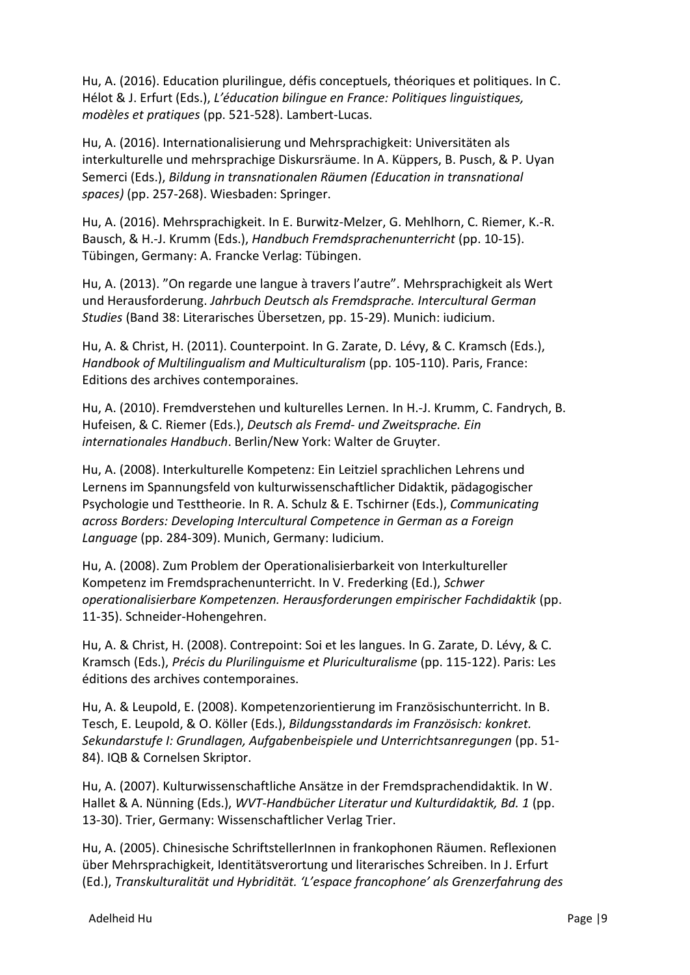Hu, A. (2016). Education plurilingue, défis conceptuels, théoriques et politiques. In C. Hélot & J. Erfurt (Eds.), *L'éducation bilingue en France: Politiques linguistiques, modèles et pratiques* (pp. 521-528). Lambert-Lucas.

Hu, A. (2016). Internationalisierung und Mehrsprachigkeit: Universitäten als interkulturelle und mehrsprachige Diskursräume. In A. Küppers, B. Pusch, & P. Uyan Semerci (Eds.), *Bildung in transnationalen Räumen (Education in transnational spaces)* (pp. 257-268). Wiesbaden: Springer.

Hu, A. (2016). Mehrsprachigkeit. In E. Burwitz-Melzer, G. Mehlhorn, C. Riemer, K.-R. Bausch, & H.-J. Krumm (Eds.), *Handbuch Fremdsprachenunterricht* (pp. 10-15). Tübingen, Germany: A. Francke Verlag: Tübingen.

Hu, A. (2013). "On regarde une langue à travers l'autre". Mehrsprachigkeit als Wert und Herausforderung. *Jahrbuch Deutsch als Fremdsprache. Intercultural German Studies* (Band 38: Literarisches Übersetzen, pp. 15-29). Munich: iudicium.

Hu, A. & Christ, H. (2011). Counterpoint. In G. Zarate, D. Lévy, & C. Kramsch (Eds.), *Handbook of Multilingualism and Multiculturalism* (pp. 105-110). Paris, France: Editions des archives contemporaines.

Hu, A. (2010). Fremdverstehen und kulturelles Lernen. In H.-J. Krumm, C. Fandrych, B. Hufeisen, & C. Riemer (Eds.), *Deutsch als Fremd- und Zweitsprache. Ein internationales Handbuch*. Berlin/New York: Walter de Gruyter.

Hu, A. (2008). Interkulturelle Kompetenz: Ein Leitziel sprachlichen Lehrens und Lernens im Spannungsfeld von kulturwissenschaftlicher Didaktik, pädagogischer Psychologie und Testtheorie. In R. A. Schulz & E. Tschirner (Eds.), *Communicating across Borders: Developing Intercultural Competence in German as a Foreign Language* (pp. 284-309). Munich, Germany: Iudicium.

Hu, A. (2008). Zum Problem der Operationalisierbarkeit von Interkultureller Kompetenz im Fremdsprachenunterricht. In V. Frederking (Ed.), *Schwer operationalisierbare Kompetenzen. Herausforderungen empirischer Fachdidaktik* (pp. 11-35). Schneider-Hohengehren.

Hu, A. & Christ, H. (2008). Contrepoint: Soi et les langues. In G. Zarate, D. Lévy, & C. Kramsch (Eds.), *Précis du Plurilinguisme et Pluriculturalisme* (pp. 115-122). Paris: Les éditions des archives contemporaines.

Hu, A. & Leupold, E. (2008). Kompetenzorientierung im Französischunterricht. In B. Tesch, E. Leupold, & O. Köller (Eds.), *Bildungsstandards im Französisch: konkret. Sekundarstufe I: Grundlagen, Aufgabenbeispiele und Unterrichtsanregungen* (pp. 51- 84). IQB & Cornelsen Skriptor.

Hu, A. (2007). Kulturwissenschaftliche Ansätze in der Fremdsprachendidaktik. In W. Hallet & A. Nünning (Eds.), *WVT-Handbücher Literatur und Kulturdidaktik, Bd. 1* (pp. 13-30). Trier, Germany: Wissenschaftlicher Verlag Trier.

Hu, A. (2005). Chinesische SchriftstellerInnen in frankophonen Räumen. Reflexionen über Mehrsprachigkeit, Identitätsverortung und literarisches Schreiben. In J. Erfurt (Ed.), *Transkulturalität und Hybridität. 'L'espace francophone' als Grenzerfahrung des*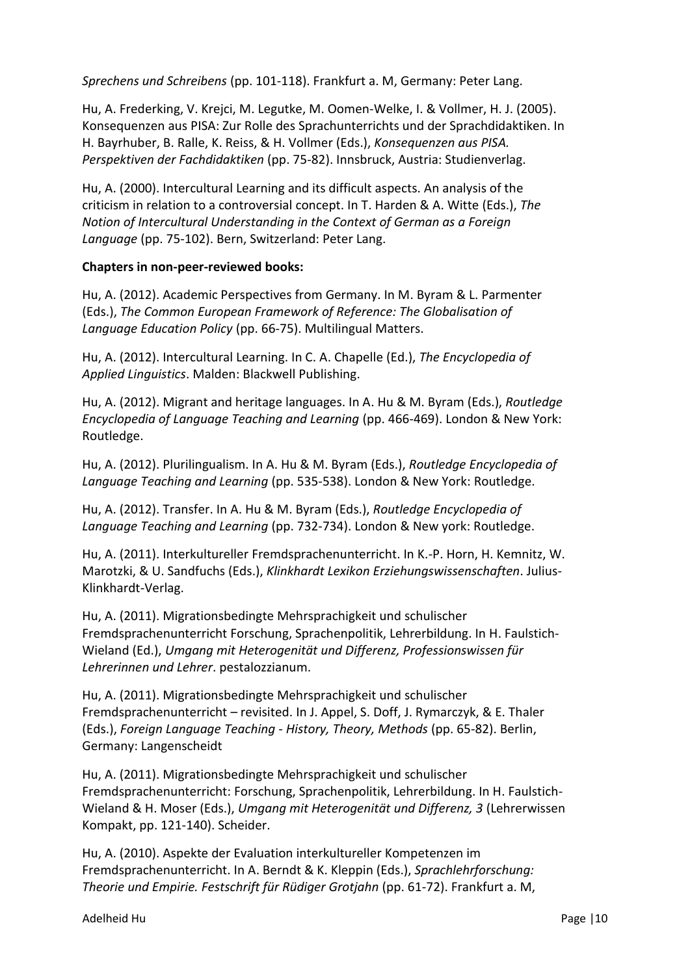*Sprechens und Schreibens* (pp. 101-118). Frankfurt a. M, Germany: Peter Lang.

Hu, A. Frederking, V. Krejci, M. Legutke, M. Oomen-Welke, I. & Vollmer, H. J. (2005). Konsequenzen aus PISA: Zur Rolle des Sprachunterrichts und der Sprachdidaktiken. In H. Bayrhuber, B. Ralle, K. Reiss, & H. Vollmer (Eds.), *Konsequenzen aus PISA. Perspektiven der Fachdidaktiken* (pp. 75-82). Innsbruck, Austria: Studienverlag.

Hu, A. (2000). Intercultural Learning and its difficult aspects. An analysis of the criticism in relation to a controversial concept. In T. Harden & A. Witte (Eds.), *The Notion of Intercultural Understanding in the Context of German as a Foreign Language* (pp. 75-102). Bern, Switzerland: Peter Lang.

### **Chapters in non-peer-reviewed books:**

Hu, A. (2012). Academic Perspectives from Germany. In M. Byram & L. Parmenter (Eds.), *The Common European Framework of Reference: The Globalisation of Language Education Policy* (pp. 66-75). Multilingual Matters.

Hu, A. (2012). Intercultural Learning. In C. A. Chapelle (Ed.), *The Encyclopedia of Applied Linguistics*. Malden: Blackwell Publishing.

Hu, A. (2012). Migrant and heritage languages. In A. Hu & M. Byram (Eds.), *Routledge Encyclopedia of Language Teaching and Learning* (pp. 466-469). London & New York: Routledge.

Hu, A. (2012). Plurilingualism. In A. Hu & M. Byram (Eds.), *Routledge Encyclopedia of Language Teaching and Learning* (pp. 535-538). London & New York: Routledge.

Hu, A. (2012). Transfer. In A. Hu & M. Byram (Eds.), *Routledge Encyclopedia of Language Teaching and Learning* (pp. 732-734). London & New york: Routledge.

Hu, A. (2011). Interkultureller Fremdsprachenunterricht. In K.-P. Horn, H. Kemnitz, W. Marotzki, & U. Sandfuchs (Eds.), *Klinkhardt Lexikon Erziehungswissenschaften*. Julius-Klinkhardt-Verlag.

Hu, A. (2011). Migrationsbedingte Mehrsprachigkeit und schulischer Fremdsprachenunterricht Forschung, Sprachenpolitik, Lehrerbildung. In H. Faulstich-Wieland (Ed.), *Umgang mit Heterogenität und Differenz, Professionswissen für Lehrerinnen und Lehrer*. pestalozzianum.

Hu, A. (2011). Migrationsbedingte Mehrsprachigkeit und schulischer Fremdsprachenunterricht – revisited. In J. Appel, S. Doff, J. Rymarczyk, & E. Thaler (Eds.), *Foreign Language Teaching - History, Theory, Methods* (pp. 65-82). Berlin, Germany: Langenscheidt

Hu, A. (2011). Migrationsbedingte Mehrsprachigkeit und schulischer Fremdsprachenunterricht: Forschung, Sprachenpolitik, Lehrerbildung. In H. Faulstich-Wieland & H. Moser (Eds.), *Umgang mit Heterogenität und Differenz, 3* (Lehrerwissen Kompakt, pp. 121-140). Scheider.

Hu, A. (2010). Aspekte der Evaluation interkultureller Kompetenzen im Fremdsprachenunterricht. In A. Berndt & K. Kleppin (Eds.), *Sprachlehrforschung: Theorie und Empirie. Festschrift für Rüdiger Grotjahn* (pp. 61-72). Frankfurt a. M,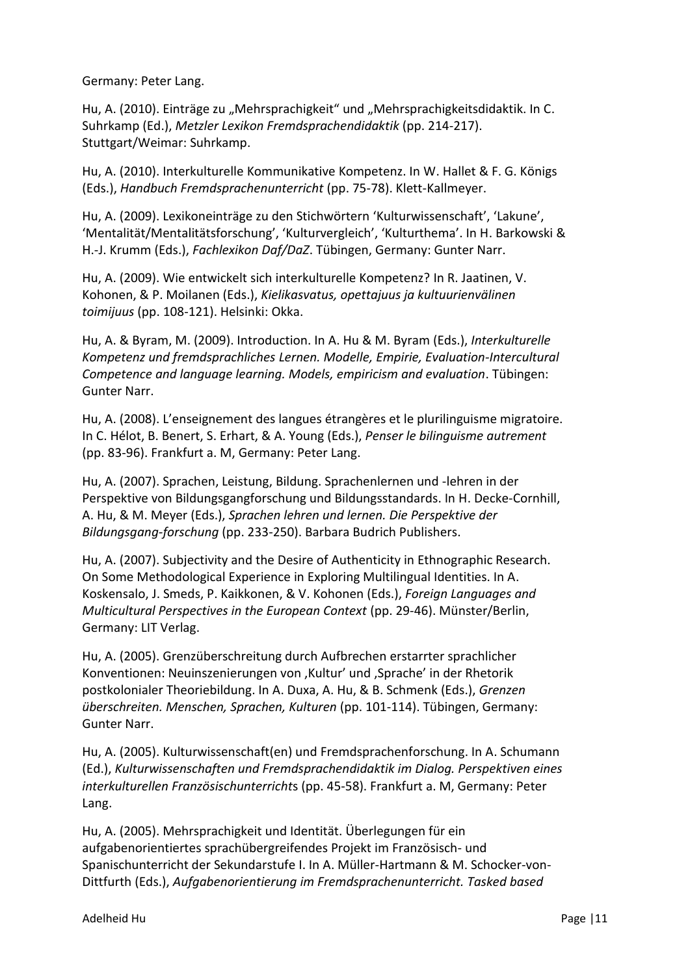Germany: Peter Lang.

Hu, A. (2010). Einträge zu "Mehrsprachigkeit" und "Mehrsprachigkeitsdidaktik. In C. Suhrkamp (Ed.), *Metzler Lexikon Fremdsprachendidaktik* (pp. 214-217). Stuttgart/Weimar: Suhrkamp.

Hu, A. (2010). Interkulturelle Kommunikative Kompetenz. In W. Hallet & F. G. Königs (Eds.), *Handbuch Fremdsprachenunterricht* (pp. 75-78). Klett-Kallmeyer.

Hu, A. (2009). Lexikoneinträge zu den Stichwörtern 'Kulturwissenschaft', 'Lakune', 'Mentalität/Mentalitätsforschung', 'Kulturvergleich', 'Kulturthema'. In H. Barkowski & H.-J. Krumm (Eds.), *Fachlexikon Daf/DaZ*. Tübingen, Germany: Gunter Narr.

Hu, A. (2009). Wie entwickelt sich interkulturelle Kompetenz? In R. Jaatinen, V. Kohonen, & P. Moilanen (Eds.), *Kielikasvatus, opettajuus ja kultuurienvälinen toimijuus* (pp. 108-121). Helsinki: Okka.

Hu, A. & Byram, M. (2009). Introduction. In A. Hu & M. Byram (Eds.), *Interkulturelle Kompetenz und fremdsprachliches Lernen. Modelle, Empirie, Evaluation-Intercultural Competence and language learning. Models, empiricism and evaluation*. Tübingen: Gunter Narr.

Hu, A. (2008). L'enseignement des langues étrangères et le plurilinguisme migratoire. In C. Hélot, B. Benert, S. Erhart, & A. Young (Eds.), *Penser le bilinguisme autrement* (pp. 83-96). Frankfurt a. M, Germany: Peter Lang.

Hu, A. (2007). Sprachen, Leistung, Bildung. Sprachenlernen und -lehren in der Perspektive von Bildungsgangforschung und Bildungsstandards. In H. Decke-Cornhill, A. Hu, & M. Meyer (Eds.), *Sprachen lehren und lernen. Die Perspektive der Bildungsgang-forschung* (pp. 233-250). Barbara Budrich Publishers.

Hu, A. (2007). Subjectivity and the Desire of Authenticity in Ethnographic Research. On Some Methodological Experience in Exploring Multilingual Identities. In A. Koskensalo, J. Smeds, P. Kaikkonen, & V. Kohonen (Eds.), *Foreign Languages and Multicultural Perspectives in the European Context* (pp. 29-46). Münster/Berlin, Germany: LIT Verlag.

Hu, A. (2005). Grenzüberschreitung durch Aufbrechen erstarrter sprachlicher Konventionen: Neuinszenierungen von 'Kultur' und 'Sprache' in der Rhetorik postkolonialer Theoriebildung. In A. Duxa, A. Hu, & B. Schmenk (Eds.), *Grenzen überschreiten. Menschen, Sprachen, Kulturen* (pp. 101-114). Tübingen, Germany: Gunter Narr.

Hu, A. (2005). Kulturwissenschaft(en) und Fremdsprachenforschung. In A. Schumann (Ed.), *Kulturwissenschaften und Fremdsprachendidaktik im Dialog. Perspektiven eines interkulturellen Französischunterricht*s (pp. 45-58). Frankfurt a. M, Germany: Peter Lang.

Hu, A. (2005). Mehrsprachigkeit und Identität. Überlegungen für ein aufgabenorientiertes sprachübergreifendes Projekt im Französisch- und Spanischunterricht der Sekundarstufe I. In A. Müller-Hartmann & M. Schocker-von-Dittfurth (Eds.), *Aufgabenorientierung im Fremdsprachenunterricht. Tasked based*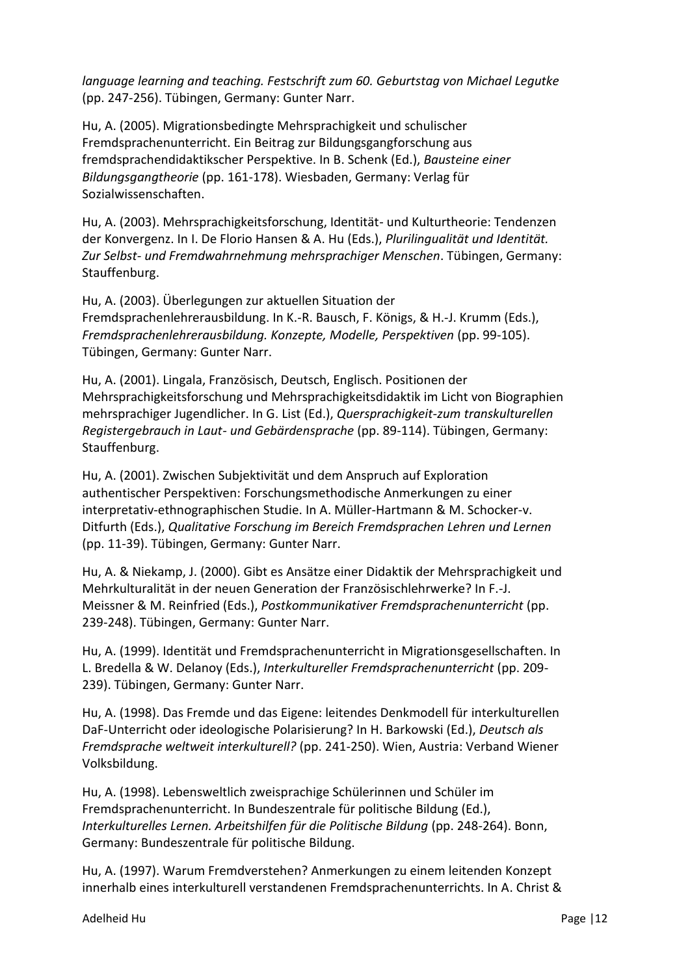*language learning and teaching. Festschrift zum 60. Geburtstag von Michael Legutke* (pp. 247-256). Tübingen, Germany: Gunter Narr.

Hu, A. (2005). Migrationsbedingte Mehrsprachigkeit und schulischer Fremdsprachenunterricht. Ein Beitrag zur Bildungsgangforschung aus fremdsprachendidaktikscher Perspektive. In B. Schenk (Ed.), *Bausteine einer Bildungsgangtheorie* (pp. 161-178). Wiesbaden, Germany: Verlag für Sozialwissenschaften.

Hu, A. (2003). Mehrsprachigkeitsforschung, Identität- und Kulturtheorie: Tendenzen der Konvergenz. In I. De Florio Hansen & A. Hu (Eds.), *Plurilingualität und Identität. Zur Selbst- und Fremdwahrnehmung mehrsprachiger Menschen*. Tübingen, Germany: Stauffenburg.

Hu, A. (2003). Überlegungen zur aktuellen Situation der Fremdsprachenlehrerausbildung. In K.-R. Bausch, F. Königs, & H.-J. Krumm (Eds.), *Fremdsprachenlehrerausbildung. Konzepte, Modelle, Perspektiven* (pp. 99-105). Tübingen, Germany: Gunter Narr.

Hu, A. (2001). Lingala, Französisch, Deutsch, Englisch. Positionen der Mehrsprachigkeitsforschung und Mehrsprachigkeitsdidaktik im Licht von Biographien mehrsprachiger Jugendlicher. In G. List (Ed.), *Quersprachigkeit-zum transkulturellen Registergebrauch in Laut- und Gebärdensprache* (pp. 89-114). Tübingen, Germany: Stauffenburg.

Hu, A. (2001). Zwischen Subjektivität und dem Anspruch auf Exploration authentischer Perspektiven: Forschungsmethodische Anmerkungen zu einer interpretativ-ethnographischen Studie. In A. Müller-Hartmann & M. Schocker-v. Ditfurth (Eds.), *Qualitative Forschung im Bereich Fremdsprachen Lehren und Lernen* (pp. 11-39). Tübingen, Germany: Gunter Narr.

Hu, A. & Niekamp, J. (2000). Gibt es Ansätze einer Didaktik der Mehrsprachigkeit und Mehrkulturalität in der neuen Generation der Französischlehrwerke? In F.-J. Meissner & M. Reinfried (Eds.), *Postkommunikativer Fremdsprachenunterricht* (pp. 239-248). Tübingen, Germany: Gunter Narr.

Hu, A. (1999). Identität und Fremdsprachenunterricht in Migrationsgesellschaften. In L. Bredella & W. Delanoy (Eds.), *Interkultureller Fremdsprachenunterricht* (pp. 209- 239). Tübingen, Germany: Gunter Narr.

Hu, A. (1998). Das Fremde und das Eigene: leitendes Denkmodell für interkulturellen DaF-Unterricht oder ideologische Polarisierung? In H. Barkowski (Ed.), *Deutsch als Fremdsprache weltweit interkulturell?* (pp. 241-250). Wien, Austria: Verband Wiener Volksbildung.

Hu, A. (1998). Lebensweltlich zweisprachige Schülerinnen und Schüler im Fremdsprachenunterricht. In Bundeszentrale für politische Bildung (Ed.), *Interkulturelles Lernen. Arbeitshilfen für die Politische Bildung* (pp. 248-264). Bonn, Germany: Bundeszentrale für politische Bildung.

Hu, A. (1997). Warum Fremdverstehen? Anmerkungen zu einem leitenden Konzept innerhalb eines interkulturell verstandenen Fremdsprachenunterrichts. In A. Christ &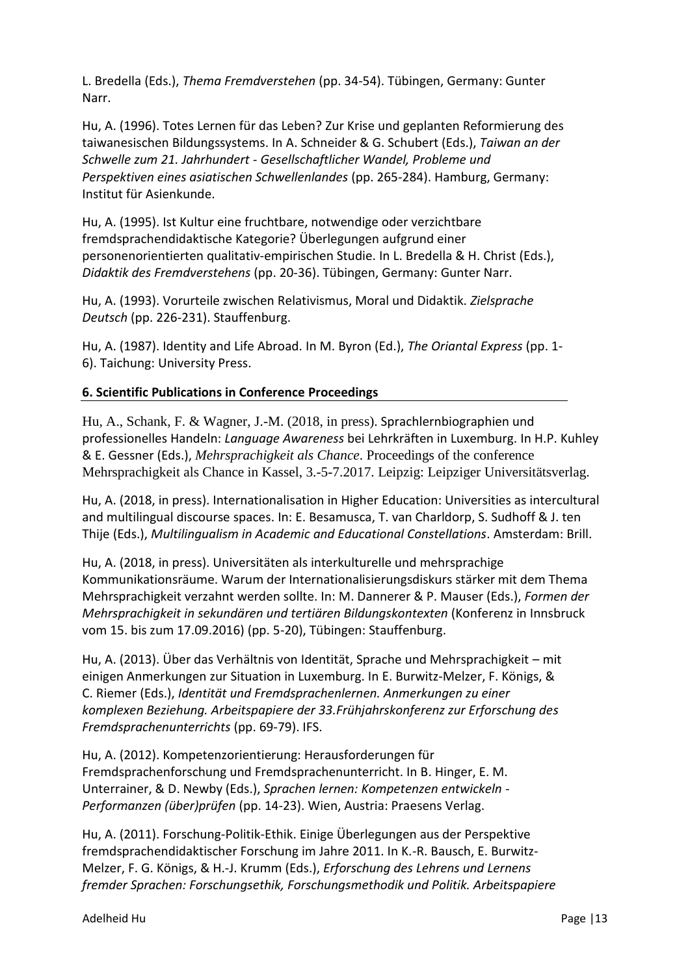L. Bredella (Eds.), *Thema Fremdverstehen* (pp. 34-54). Tübingen, Germany: Gunter Narr.

Hu, A. (1996). Totes Lernen für das Leben? Zur Krise und geplanten Reformierung des taiwanesischen Bildungssystems. In A. Schneider & G. Schubert (Eds.), *Taiwan an der Schwelle zum 21. Jahrhundert - Gesellschaftlicher Wandel, Probleme und Perspektiven eines asiatischen Schwellenlandes* (pp. 265-284). Hamburg, Germany: Institut für Asienkunde.

Hu, A. (1995). Ist Kultur eine fruchtbare, notwendige oder verzichtbare fremdsprachendidaktische Kategorie? Überlegungen aufgrund einer personenorientierten qualitativ-empirischen Studie. In L. Bredella & H. Christ (Eds.), *Didaktik des Fremdverstehens* (pp. 20-36). Tübingen, Germany: Gunter Narr.

Hu, A. (1993). Vorurteile zwischen Relativismus, Moral und Didaktik. *Zielsprache Deutsch* (pp. 226-231). Stauffenburg.

Hu, A. (1987). Identity and Life Abroad. In M. Byron (Ed.), *The Oriantal Express* (pp. 1- 6). Taichung: University Press.

# **6. Scientific Publications in Conference Proceedings**

Hu, A., Schank, F. & Wagner, J.-M. (2018, in press). Sprachlernbiographien und professionelles Handeln: *Language Awareness* bei Lehrkräften in Luxemburg. In H.P. Kuhley & E. Gessner (Eds.), *Mehrsprachigkeit als Chance*. Proceedings of the conference Mehrsprachigkeit als Chance in Kassel, 3.-5-7.2017. Leipzig: Leipziger Universitätsverlag.

Hu, A. (2018, in press). Internationalisation in Higher Education: Universities as intercultural and multilingual discourse spaces. In: E. Besamusca, T. van Charldorp, S. Sudhoff & J. ten Thije (Eds.), *Multilingualism in Academic and Educational Constellations*. Amsterdam: Brill.

Hu, A. (2018, in press). Universitäten als interkulturelle und mehrsprachige Kommunikationsräume. Warum der Internationalisierungsdiskurs stärker mit dem Thema Mehrsprachigkeit verzahnt werden sollte. In: M. Dannerer & P. Mauser (Eds.), *Formen der Mehrsprachigkeit in sekundären und tertiären Bildungskontexten* (Konferenz in Innsbruck vom 15. bis zum 17.09.2016) (pp. 5-20), Tübingen: Stauffenburg.

Hu, A. (2013). Über das Verhältnis von Identität, Sprache und Mehrsprachigkeit – mit einigen Anmerkungen zur Situation in Luxemburg. In E. Burwitz-Melzer, F. Königs, & C. Riemer (Eds.), *Identität und Fremdsprachenlernen. Anmerkungen zu einer komplexen Beziehung. Arbeitspapiere der 33.Frühjahrskonferenz zur Erforschung des Fremdsprachenunterrichts* (pp. 69-79). IFS.

Hu, A. (2012). Kompetenzorientierung: Herausforderungen für Fremdsprachenforschung und Fremdsprachenunterricht. In B. Hinger, E. M. Unterrainer, & D. Newby (Eds.), *Sprachen lernen: Kompetenzen entwickeln - Performanzen (über)prüfen* (pp. 14-23). Wien, Austria: Praesens Verlag.

Hu, A. (2011). Forschung-Politik-Ethik. Einige Überlegungen aus der Perspektive fremdsprachendidaktischer Forschung im Jahre 2011. In K.-R. Bausch, E. Burwitz-Melzer, F. G. Königs, & H.-J. Krumm (Eds.), *Erforschung des Lehrens und Lernens fremder Sprachen: Forschungsethik, Forschungsmethodik und Politik. Arbeitspapiere*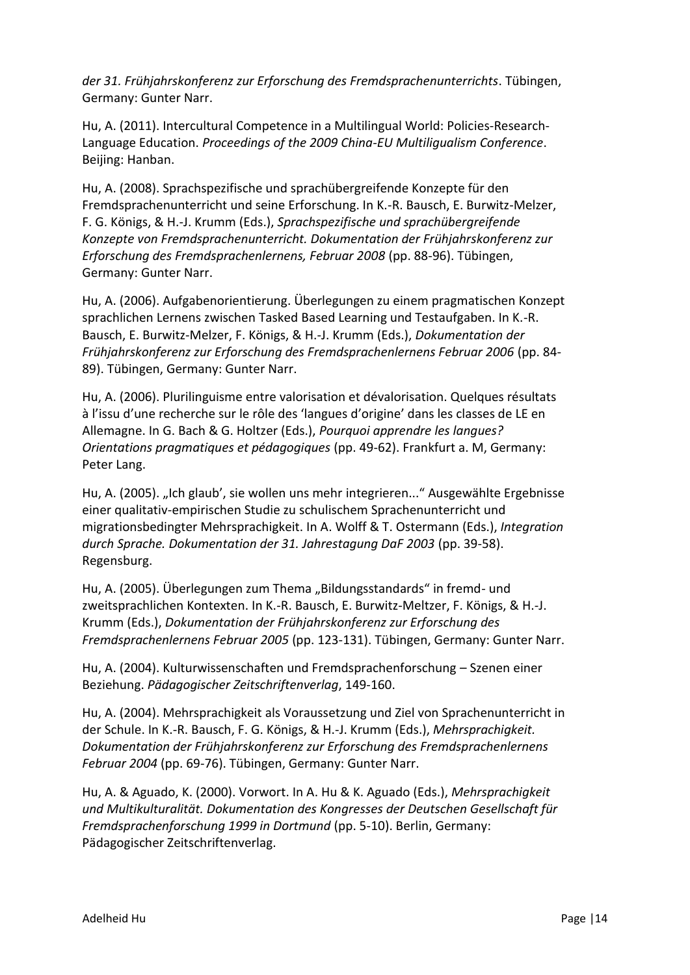*der 31. Frühjahrskonferenz zur Erforschung des Fremdsprachenunterrichts*. Tübingen, Germany: Gunter Narr.

Hu, A. (2011). Intercultural Competence in a Multilingual World: Policies-Research-Language Education. *Proceedings of the 2009 China-EU Multiligualism Conference*. Beijing: Hanban.

Hu, A. (2008). Sprachspezifische und sprachübergreifende Konzepte für den Fremdsprachenunterricht und seine Erforschung. In K.-R. Bausch, E. Burwitz-Melzer, F. G. Königs, & H.-J. Krumm (Eds.), *Sprachspezifische und sprachübergreifende Konzepte von Fremdsprachenunterricht. Dokumentation der Frühjahrskonferenz zur Erforschung des Fremdsprachenlernens, Februar 2008* (pp. 88-96). Tübingen, Germany: Gunter Narr.

Hu, A. (2006). Aufgabenorientierung. Überlegungen zu einem pragmatischen Konzept sprachlichen Lernens zwischen Tasked Based Learning und Testaufgaben. In K.-R. Bausch, E. Burwitz-Melzer, F. Königs, & H.-J. Krumm (Eds.), *Dokumentation der Frühjahrskonferenz zur Erforschung des Fremdsprachenlernens Februar 2006* (pp. 84- 89). Tübingen, Germany: Gunter Narr.

Hu, A. (2006). Plurilinguisme entre valorisation et dévalorisation. Quelques résultats à l'issu d'une recherche sur le rôle des 'langues d'origine' dans les classes de LE en Allemagne. In G. Bach & G. Holtzer (Eds.), *Pourquoi apprendre les langues? Orientations pragmatiques et pédagogiques* (pp. 49-62). Frankfurt a. M, Germany: Peter Lang.

Hu, A. (2005). "Ich glaub', sie wollen uns mehr integrieren..." Ausgewählte Ergebnisse einer qualitativ-empirischen Studie zu schulischem Sprachenunterricht und migrationsbedingter Mehrsprachigkeit. In A. Wolff & T. Ostermann (Eds.), *Integration durch Sprache. Dokumentation der 31. Jahrestagung DaF 2003* (pp. 39-58). Regensburg.

Hu, A. (2005). Überlegungen zum Thema "Bildungsstandards" in fremd- und zweitsprachlichen Kontexten. In K.-R. Bausch, E. Burwitz-Meltzer, F. Königs, & H.-J. Krumm (Eds.), *Dokumentation der Frühjahrskonferenz zur Erforschung des Fremdsprachenlernens Februar 2005* (pp. 123-131). Tübingen, Germany: Gunter Narr.

Hu, A. (2004). Kulturwissenschaften und Fremdsprachenforschung – Szenen einer Beziehung. *Pädagogischer Zeitschriftenverlag*, 149-160.

Hu, A. (2004). Mehrsprachigkeit als Voraussetzung und Ziel von Sprachenunterricht in der Schule. In K.-R. Bausch, F. G. Königs, & H.-J. Krumm (Eds.), *Mehrsprachigkeit. Dokumentation der Frühjahrskonferenz zur Erforschung des Fremdsprachenlernens Februar 2004* (pp. 69-76). Tübingen, Germany: Gunter Narr.

Hu, A. & Aguado, K. (2000). Vorwort. In A. Hu & K. Aguado (Eds.), *Mehrsprachigkeit und Multikulturalität. Dokumentation des Kongresses der Deutschen Gesellschaft für Fremdsprachenforschung 1999 in Dortmund* (pp. 5-10). Berlin, Germany: Pädagogischer Zeitschriftenverlag.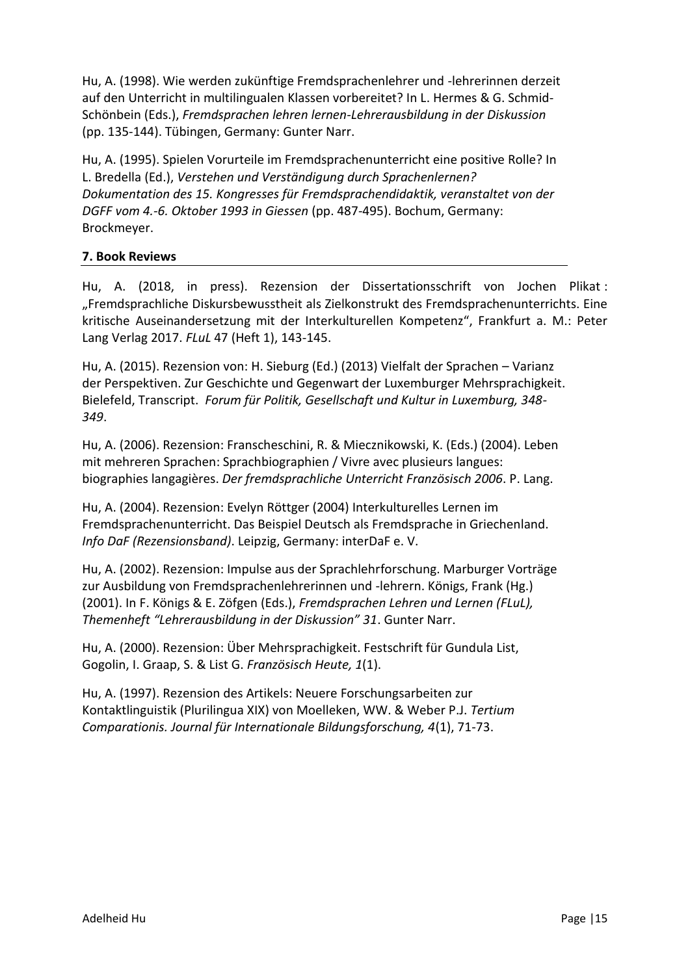Hu, A. (1998). Wie werden zukünftige Fremdsprachenlehrer und -lehrerinnen derzeit auf den Unterricht in multilingualen Klassen vorbereitet? In L. Hermes & G. Schmid-Schönbein (Eds.), *Fremdsprachen lehren lernen-Lehrerausbildung in der Diskussion* (pp. 135-144). Tübingen, Germany: Gunter Narr.

Hu, A. (1995). Spielen Vorurteile im Fremdsprachenunterricht eine positive Rolle? In L. Bredella (Ed.), *Verstehen und Verständigung durch Sprachenlernen? Dokumentation des 15. Kongresses für Fremdsprachendidaktik, veranstaltet von der DGFF vom 4.-6. Oktober 1993 in Giessen* (pp. 487-495). Bochum, Germany: Brockmeyer.

### **7. Book Reviews**

Hu, A. (2018, in press). Rezension der Dissertationsschrift von Jochen Plikat : "Fremdsprachliche Diskursbewusstheit als Zielkonstrukt des Fremdsprachenunterrichts. Eine kritische Auseinandersetzung mit der Interkulturellen Kompetenz", Frankfurt a. M.: Peter Lang Verlag 2017. *FLuL* 47 (Heft 1), 143-145.

Hu, A. (2015). Rezension von: H. Sieburg (Ed.) (2013) Vielfalt der Sprachen – Varianz der Perspektiven. Zur Geschichte und Gegenwart der Luxemburger Mehrsprachigkeit. Bielefeld, Transcript. *Forum für Politik, Gesellschaft und Kultur in Luxemburg, 348- 349*.

Hu, A. (2006). Rezension: Franscheschini, R. & Miecznikowski, K. (Eds.) (2004). Leben mit mehreren Sprachen: Sprachbiographien / Vivre avec plusieurs langues: biographies langagières. *Der fremdsprachliche Unterricht Französisch 2006*. P. Lang.

Hu, A. (2004). Rezension: Evelyn Röttger (2004) Interkulturelles Lernen im Fremdsprachenunterricht. Das Beispiel Deutsch als Fremdsprache in Griechenland. *Info DaF (Rezensionsband)*. Leipzig, Germany: interDaF e. V.

Hu, A. (2002). Rezension: Impulse aus der Sprachlehrforschung. Marburger Vorträge zur Ausbildung von Fremdsprachenlehrerinnen und -lehrern. Königs, Frank (Hg.) (2001). In F. Königs & E. Zöfgen (Eds.), *Fremdsprachen Lehren und Lernen (FLuL), Themenheft "Lehrerausbildung in der Diskussion" 31*. Gunter Narr.

Hu, A. (2000). Rezension: Über Mehrsprachigkeit. Festschrift für Gundula List, Gogolin, I. Graap, S. & List G. *Französisch Heute, 1*(1).

Hu, A. (1997). Rezension des Artikels: Neuere Forschungsarbeiten zur Kontaktlinguistik (Plurilingua XIX) von Moelleken, WW. & Weber P.J. *Tertium Comparationis. Journal für Internationale Bildungsforschung, 4*(1), 71-73.